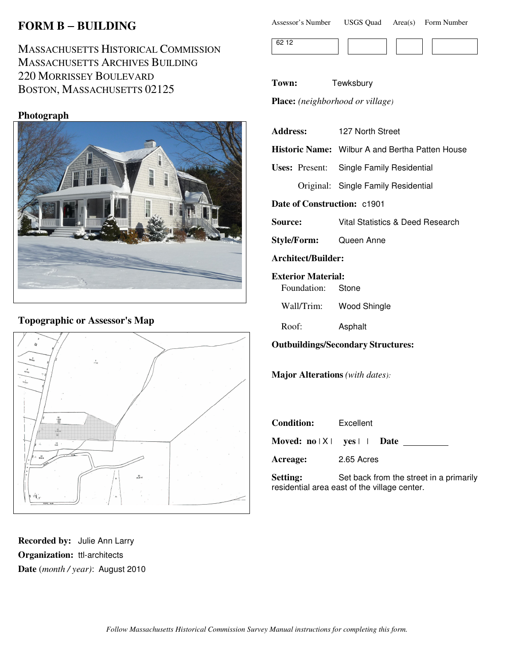# **FORM B** − **BUILDING**

MASSACHUSETTS HISTORICAL COMMISSION MASSACHUSETTS ARCHIVES BUILDING 220 MORRISSEY BOULEVARD BOSTON, MASSACHUSETTS 02125

### **Photograph**



## **Topographic or Assessor's Map**



**Recorded by:** Julie Ann Larry **Organization:** ttl-architects **Date** (*month / year)*: August 2010 Assessor's Number USGS Quad Area(s) Form Number



**Town:** Tewksbury

**Place:** *(neighborhood or village)*

|                                           |                   | Address: 127 North Street                              |  |
|-------------------------------------------|-------------------|--------------------------------------------------------|--|
|                                           |                   | <b>Historic Name:</b> Wilbur A and Bertha Patten House |  |
|                                           |                   | <b>Uses: Present:</b> Single Family Residential        |  |
|                                           |                   | Original: Single Family Residential                    |  |
| <b>Date of Construction: c1901</b>        |                   |                                                        |  |
| Source:                                   |                   | Vital Statistics & Deed Research                       |  |
| Style/Form: Queen Anne                    |                   |                                                        |  |
| Architect/Builder:                        |                   |                                                        |  |
| <b>Exterior Material:</b>                 |                   |                                                        |  |
|                                           | Foundation: Stone |                                                        |  |
|                                           |                   | Wall/Trim: Wood Shingle                                |  |
| Roof:                                     |                   | Asphalt                                                |  |
| <b>Outbuildings/Secondary Structures:</b> |                   |                                                        |  |

**Major Alterations** *(with dates):*

| <b>Condition:</b> Excellent |                                                           |
|-----------------------------|-----------------------------------------------------------|
|                             | Moved: $no \mid X \mid$ yes $\mid \cdot \cdot \cdot$ Date |
| Acreage:                    | 2.65 Acres                                                |
|                             |                                                           |

Setting: Set back from the street in a primarily residential area east of the village center.